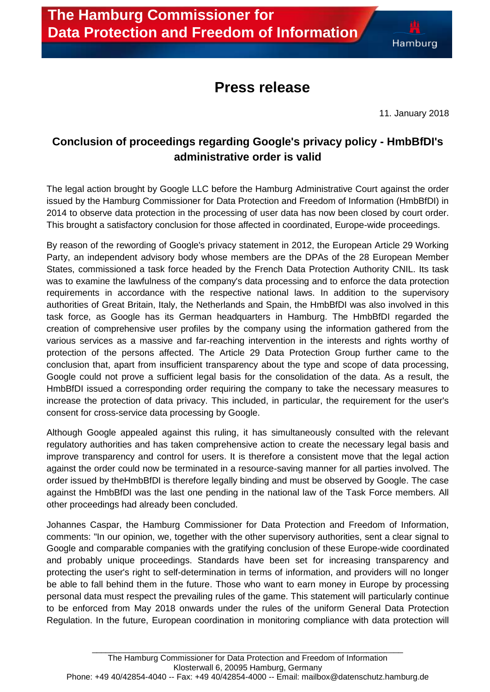## **Press release**

11. January 2018

## **Conclusion of proceedings regarding Google's privacy policy - HmbBfDI's administrative order is valid**

The legal action brought by Google LLC before the Hamburg Administrative Court against the order issued by the Hamburg Commissioner for Data Protection and Freedom of Information (HmbBfDI) in 2014 to observe data protection in the processing of user data has now been closed by court order. This brought a satisfactory conclusion for those affected in coordinated, Europe-wide proceedings.

By reason of the rewording of Google's privacy statement in 2012, the European Article 29 Working Party, an independent advisory body whose members are the DPAs of the 28 European Member States, commissioned a task force headed by the French Data Protection Authority CNIL. Its task was to examine the lawfulness of the company's data processing and to enforce the data protection requirements in accordance with the respective national laws. In addition to the supervisory authorities of Great Britain, Italy, the Netherlands and Spain, the HmbBfDI was also involved in this task force, as Google has its German headquarters in Hamburg. The HmbBfDI regarded the creation of comprehensive user profiles by the company using the information gathered from the various services as a massive and far-reaching intervention in the interests and rights worthy of protection of the persons affected. The Article 29 Data Protection Group further came to the conclusion that, apart from insufficient transparency about the type and scope of data processing, Google could not prove a sufficient legal basis for the consolidation of the data. As a result, the HmbBfDI issued a corresponding order requiring the company to take the necessary measures to increase the protection of data privacy. This included, in particular, the requirement for the user's consent for cross-service data processing by Google.

Although Google appealed against this ruling, it has simultaneously consulted with the relevant regulatory authorities and has taken comprehensive action to create the necessary legal basis and improve transparency and control for users. It is therefore a consistent move that the legal action against the order could now be terminated in a resource-saving manner for all parties involved. The order issued by theHmbBfDI is therefore legally binding and must be observed by Google. The case against the HmbBfDI was the last one pending in the national law of the Task Force members. All other proceedings had already been concluded.

Johannes Caspar, the Hamburg Commissioner for Data Protection and Freedom of Information, comments: "In our opinion, we, together with the other supervisory authorities, sent a clear signal to Google and comparable companies with the gratifying conclusion of these Europe-wide coordinated and probably unique proceedings. Standards have been set for increasing transparency and protecting the user's right to self-determination in terms of information, and providers will no longer be able to fall behind them in the future. Those who want to earn money in Europe by processing personal data must respect the prevailing rules of the game. This statement will particularly continue to be enforced from May 2018 onwards under the rules of the uniform General Data Protection Regulation. In the future, European coordination in monitoring compliance with data protection will